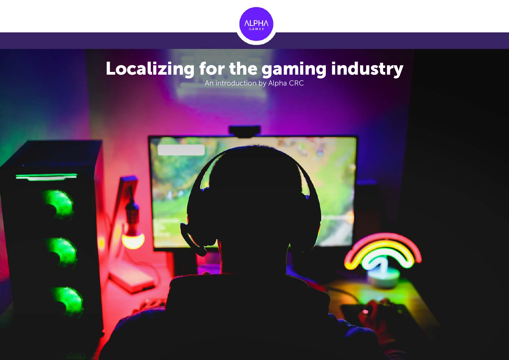

# Localizing for the gaming industry

An introduction by Alpha CRC

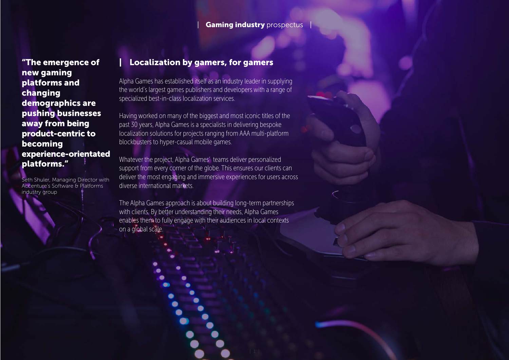#### Gaming industry prospectus

"The emergence of new gaming platforms and changing demographics are pushing businesses away from being product-centric to becoming experience-orientated platforms."

Seth Shuler, Managing Director with Accenture's Software & Platforms industry group

#### Localization by gamers, for gamers

Alpha Games has established itself as an industry leader in supplying the world's largest games publishers and developers with a range of specialized best-in-class localization services.

Having worked on many of the biggest and most iconic titles of the past 30 years, Alpha Games is a specialists in delivering bespoke localization solutions for projects ranging from AAA multi-platform blockbusters to hyper-casual mobile games.

Whatever the project, Alpha Games' teams deliver personalized support from every corner of the globe. This ensures our clients can deliver the most engaging and immersive experiences for users across diverse international markets.

The Alpha Games approach is about building long-term partnerships with clients. By better understanding their needs, Alpha Games enables them to fully engage with their audiences in local contexts on a global scale.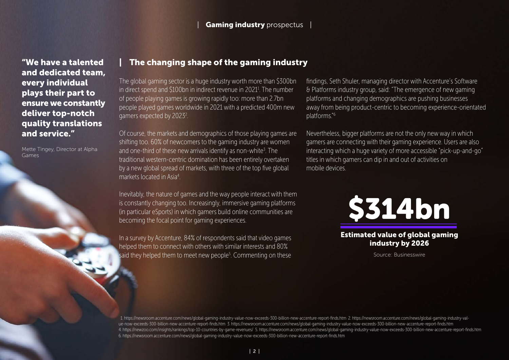and dedicated team, every individual plays their part to ensure we constantly deliver top-notch quality translations and service."

Mette Tingey, Director at Alpha Games

### "We have a talented | The changing shape of the gaming industry

The global gaming sector is a huge industry worth more than \$300bn in direct spend and \$100bn in indirect revenue in 2021<sup>1</sup>. The number of people playing games is growing rapidly too: more than 2.7bn people played games worldwide in 2021 with a predicted 400m new gamers expected by 2023<sup>2</sup>.

Of course, the markets and demographics of those playing games are shifting too. 60% of newcomers to the gaming industry are women and one-third of these new arrivals identify as non-white<sup>3</sup>. The traditional western-centric domination has been entirely overtaken by a new global spread of markets, with three of the top five global markets located in Asia4 .

Inevitably, the nature of games and the way people interact with them is constantly changing too. Increasingly, immersive gaming platforms (in particular eSports) in which gamers build online communities are becoming the focal point for gaming experiences.

In a survey by Accenture, 84% of respondents said that video games helped them to connect with others with similar interests and 80% said they helped them to meet new people<sup>5</sup>. Commenting on these findings, Seth Shuler, managing director with Accenture's Software & Platforms industry group, said: "The emergence of new gaming platforms and changing demographics are pushing businesses away from being product-centric to becoming experience-orientated platforms."6

Nevertheless, bigger platforms are not the only new way in which gamers are connecting with their gaming experience. Users are also interacting which a huge variety of more accessible "pick-up-and-go" titles in which gamers can dip in and out of activities on mobile devices.



Estimated value of global gaming industry by 2026

Source: Businesswire

 1. https://newsroom.accenture.com/news/global-gaming-industry-value-now-exceeds-300-billion-new-accenture-report-finds.htm 2. https://newsroom.accenture.com/news/global-gaming-industry-value-now-exceeds-300-billion-new-accenture-report-finds.htm 3. https://newsroom.accenture.com/news/global-gaming-industry-value-now-exceeds-300-billion-new-accenture-report-finds.htm 4. https://newzoo.com/insights/rankings/top-10-countries-by-game-revenues/ 5. https://newsroom.accenture.com/news/global-gaming-industry-value-now-exceeds-300-billion-new-accenture-report-finds.htm 6. https://newsroom.accenture.com/news/global-gaming-industry-value-now-exceeds-300-billion-new-accenture-report-finds.htm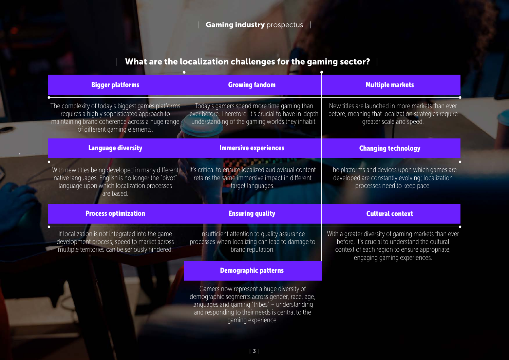# What are the localization challenges for the gaming sector?  $|$

| <b>Bigger platforms</b>                                                                                                                                                              | <b>Growing fandom</b>                                                                                                                                                                                                | <b>Multiple markets</b>                                                                                                                                                                  |
|--------------------------------------------------------------------------------------------------------------------------------------------------------------------------------------|----------------------------------------------------------------------------------------------------------------------------------------------------------------------------------------------------------------------|------------------------------------------------------------------------------------------------------------------------------------------------------------------------------------------|
| The complexity of today's biggest games platforms<br>requires a highly sophisticated approach to<br>maintaining brand coherence across a huge range<br>of different gaming elements. | Today's gamers spend more time gaming than<br>ever before. Therefore, it's crucial to have in-depth<br>understanding of the gaming worlds they inhabit.                                                              | New titles are launched in more markets than ever<br>before, meaning that localization strategies require<br>greater scale and speed.                                                    |
| <b>Language diversity</b>                                                                                                                                                            | <b>Immersive experiences</b>                                                                                                                                                                                         | <b>Changing technology</b>                                                                                                                                                               |
| With new titles being developed in many different<br>native languages, English is no longer the "pivot"<br>language upon which localization processes<br>are based.                  | It's critical to ensure localized audiovisual content<br>retains the same immersive impact in different<br>target languages.                                                                                         | The platforms and devices upon which games are<br>developed are constantly evolving; localization<br>processes need to keep pace.                                                        |
| <b>Process optimization</b>                                                                                                                                                          | <b>Ensuring quality</b>                                                                                                                                                                                              | <b>Cultural context</b>                                                                                                                                                                  |
| If localization is not integrated into the game<br>development process, speed to market across<br>multiple territories can be seriously hindered.                                    | Insufficient attention to quality assurance<br>processes when localizing can lead to damage to<br>brand reputation.                                                                                                  | With a greater diversity of gaming markets than ever<br>before, it's crucial to understand the cultural<br>context of each region to ensure appropriate,<br>engaging gaming experiences. |
|                                                                                                                                                                                      | <b>Demographic patterns</b>                                                                                                                                                                                          |                                                                                                                                                                                          |
|                                                                                                                                                                                      | Gamers now represent a huge diversity of<br>demographic segments across gender, race, age,<br>languages and gaming "tribes" - understanding<br>and responding to their needs is central to the<br>gaming experience. |                                                                                                                                                                                          |
|                                                                                                                                                                                      |                                                                                                                                                                                                                      |                                                                                                                                                                                          |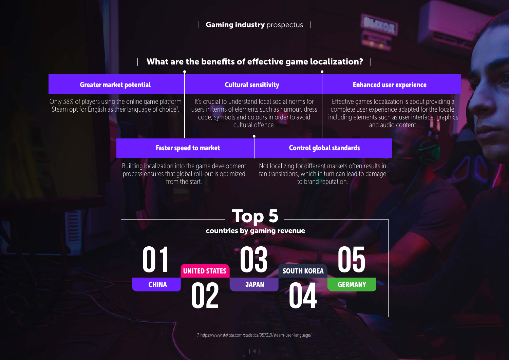### Gaming industry prospectus |



### What are the benefits of effective game localization?  $\parallel$

| <b>Greater market potential</b>                                                                                        | <b>Cultural sensitivity</b>                                                                                                                                               |                                             | <b>Enhanced user experience</b>                                                                                                     |                                                                                                                                                                                    |
|------------------------------------------------------------------------------------------------------------------------|---------------------------------------------------------------------------------------------------------------------------------------------------------------------------|---------------------------------------------|-------------------------------------------------------------------------------------------------------------------------------------|------------------------------------------------------------------------------------------------------------------------------------------------------------------------------------|
| Only 38% of players using the online game platform<br>Steam opt for English as their language of choice <sup>7</sup> . | It's crucial to understand local social norms for<br>users in terms of elements such as humour, dress<br>code, symbols and colours in order to avoid<br>cultural offence. |                                             |                                                                                                                                     | Effective games localization is about providing a<br>complete user experience adapted for the locale,<br>including elements such as user interface, graphics<br>and audio content. |
|                                                                                                                        | <b>Faster speed to market</b>                                                                                                                                             |                                             | <b>Control global standards</b>                                                                                                     |                                                                                                                                                                                    |
|                                                                                                                        | Building localization into the game development<br>process ensures that global roll-out is optimized<br>from the start.                                                   |                                             | Not localizing for different markets often results in<br>fan translations, which in turn can lead to damage<br>to brand reputation. |                                                                                                                                                                                    |
|                                                                                                                        |                                                                                                                                                                           | <b>Top 5</b><br>countries by gaming revenue |                                                                                                                                     |                                                                                                                                                                                    |
|                                                                                                                        |                                                                                                                                                                           | <b>SOUTH KOREA</b>                          |                                                                                                                                     |                                                                                                                                                                                    |

7. https://www.statista.com/statistics/957319/steam-user-language/

**02 04** 

JAPAN

**GERMANY** 

**CHINA**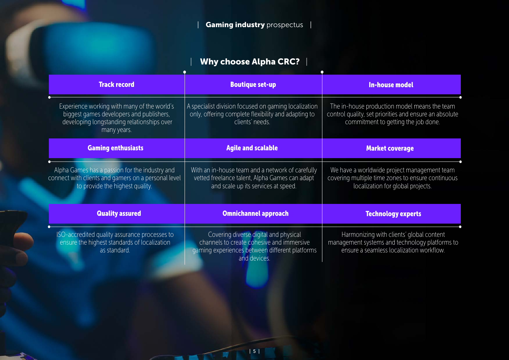# | Why choose Alpha CRC? |

| <b>Track record</b>                                                                                                                                  | <b>Boutique set-up</b>                                                                                                                               | <b>In-house model</b>                                                                                                                         |  |
|------------------------------------------------------------------------------------------------------------------------------------------------------|------------------------------------------------------------------------------------------------------------------------------------------------------|-----------------------------------------------------------------------------------------------------------------------------------------------|--|
| Experience working with many of the world's<br>biggest games developers and publishers,<br>developing longstanding relationships over<br>many years. | A specialist division focused on gaming localization<br>only, offering complete flexibility and adapting to<br>clients' needs.                       | The in-house production model means the team<br>control quality, set priorities and ensure an absolute<br>commitment to getting the job done. |  |
| <b>Gaming enthusiasts</b>                                                                                                                            | <b>Agile and scalable</b>                                                                                                                            | <b>Market coverage</b>                                                                                                                        |  |
| Alpha Games has a passion for the industry and<br>connect with clients and gamers on a personal level<br>to provide the highest quality.             | With an in-house team and a network of carefully<br>vetted freelance talent, Alpha Games can adapt<br>and scale up its services at speed.            | We have a worldwide project management team<br>covering multiple time zones to ensure continuous<br>localization for global projects.         |  |
| <b>Quality assured</b>                                                                                                                               | <b>Omnichannel approach</b>                                                                                                                          | <b>Technology experts</b>                                                                                                                     |  |
| ISO-accredited quality assurance processes to<br>ensure the highest standards of localization<br>as standard.                                        | Covering diverse digital and physical<br>channels to create cohesive and immersive<br>gaming experiences between different platforms<br>and devices. | Harmonizing with clients' global content<br>management systems and technology platforms to<br>ensure a seamless localization workflow.        |  |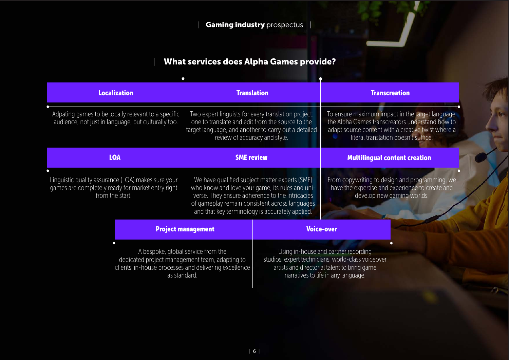# What services does Alpha Games provide? |

| <b>Localization</b>                                                                                                                                           | <b>Translation</b>                                                                                                                                                                                                                                        |  | <b>Transcreation</b>                                                                                                                                                                              |
|---------------------------------------------------------------------------------------------------------------------------------------------------------------|-----------------------------------------------------------------------------------------------------------------------------------------------------------------------------------------------------------------------------------------------------------|--|---------------------------------------------------------------------------------------------------------------------------------------------------------------------------------------------------|
| Adpating games to be locally relevant to a specific<br>audience, not just in language, but culturally too.                                                    | Two expert linguists for every translation project:<br>one to translate and edit from the source to the<br>target language, and another to carry out a detailed<br>review of accuracy and style.                                                          |  | To ensure maximum impact in the target language,<br>the Alpha Games transcreators understand how to<br>adapt source content with a creative twist where a<br>literal translation doesn't suffice. |
| <b>LQA</b>                                                                                                                                                    | <b>SME</b> review                                                                                                                                                                                                                                         |  | <b>Multilingual content creation</b>                                                                                                                                                              |
| Linguistic quality assurance (LQA) makes sure your<br>games are completely ready for market entry right<br>from the start.                                    | We have qualified subject matter experts (SME)<br>who know and love your game, its rules and uni-<br>verse. They ensure adherence to the intricacies<br>of gameplay remain consistent across languages<br>and that key terminology is accurately applied. |  | From copywriting to design and programming, we<br>have the expertise and experience to create and<br>develop new gaming worlds.                                                                   |
| <b>Project management</b>                                                                                                                                     |                                                                                                                                                                                                                                                           |  | <b>Voice-over</b>                                                                                                                                                                                 |
| A bespoke, global service from the<br>dedicated project management team, adapting to<br>clients' in-house processes and delivering excellence<br>as standard. |                                                                                                                                                                                                                                                           |  | Using in-house and partner recording<br>studios, expert technicians, world-class voiceover<br>artists and directorial talent to bring game<br>narratives to life in any language.                 |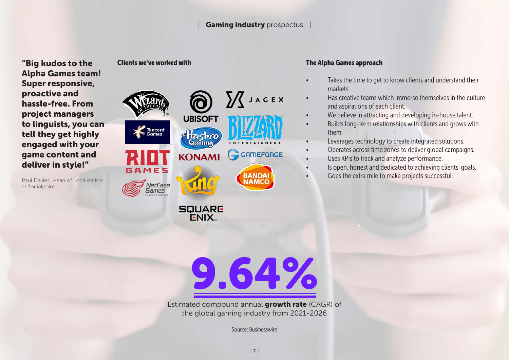#### Gaming industry prospectus

"Big kudos to the Alpha Games team! Super responsive, proactive and hassle-free. From project managers to linguists, you can tell they get highly engaged with your game content and deliver in style!"

Paul Davies, Head of Localization at Socialpoint



#### Clients we've worked with The Alpha Games approach

- Takes the time to get to know clients and understand their markets.
- Has creative teams which immerse themselves in the culture and aspirations of each client.
- We believe in attracting and developing in-house talent.
- Builds long-term relationships with clients and grows with them.
- Leverages technology to create integrated solutions.
- Operates across time zones to deliver global campaigns.
- Uses KPIs to track and analyze performance.
- Is open, honest and dedicated to achieving clients' goals.
- Goes the extra mile to make projects successful.

9.64%

Estimated compound annual growth rate (CAGR) of the global gaming industry from 2021-2026

Source: Businesswire